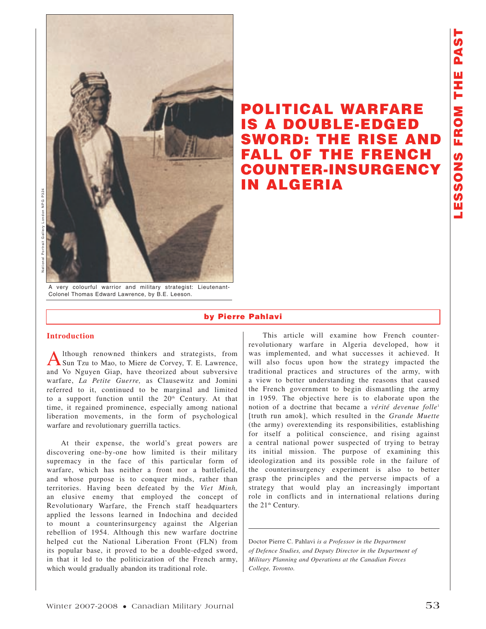

A very colourful warrior and military strategist: Lieutenant-Colonel Thomas Edward Lawrence, by B.E. Leeson.

# **POLITICAL WARFARE IS A DOUBLE-EDGED SWORD: THE RISE AND FALL OF THE FRENCH COUNTER-INSURGENCY IN ALGERIA**

**by Pierre Pahlavi**

## **Introduction**

Although renowned thinkers and strategists, from Sun Tzu to Mao, to Miere de Corvey, T. E. Lawrence, and Vo Nguyen Giap, have theorized about subversive warfare, *La Petite Guerre,* as Clausewitz and Jomini referred to it, continued to be marginal and limited to a support function until the  $20<sup>th</sup>$  Century. At that time, it regained prominence, especially among national liberation movements, in the form of psychological warfare and revolutionary guerrilla tactics.

At their expense, the world's great powers are discovering one-by-one how limited is their military supremacy in the face of this particular form of warfare, which has neither a front nor a battlefield, and whose purpose is to conquer minds, rather than territories. Having been defeated by the *Viet Minh,* an elusive enemy that employed the concept of Revolutionary Warfare, the French staff headquarters applied the lessons learned in Indochina and decided to mount a counterinsurgency against the Algerian rebellion of 1954. Although this new warfare doctrine helped cut the National Liberation Front (FLN) from its popular base, it proved to be a double-edged sword, in that it led to the politicization of the French army, which would gradually abandon its traditional role.

This article will examine how French counterrevolutionary warfare in Algeria developed, how it was implemented, and what successes it achieved. It will also focus upon how the strategy impacted the traditional practices and structures of the army, with a view to better understanding the reasons that caused the French government to begin dismantling the army in 1959. The objective here is to elaborate upon the notion of a doctrine that became a *vérité devenue folle*<sup>1</sup> [truth run amok], which resulted in the *Grande Muette*  (the army) overextending its responsibilities, establishing for itself a political conscience, and rising against a central national power suspected of trying to betray its initial mission. The purpose of examining this ideologization and its possible role in the failure of the counterinsurgency experiment is also to better grasp the principles and the perverse impacts of a strategy that would play an increasingly important role in conflicts and in international relations during the 21<sup>th</sup> Century.

Doctor Pierre C. Pahlavi *is a Professor in the Department of Defence Studies, and Deputy Director in the Department of Military Planning and Operations at the Canadian Forces College, Toronto.*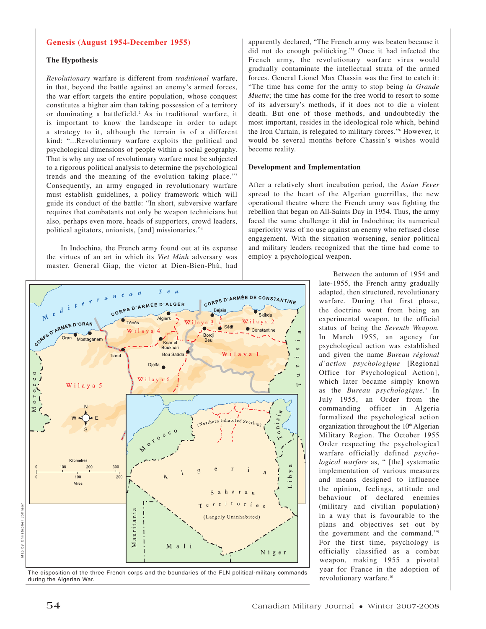#### **Genesis (August 1954-December 1955)**

## **The Hypothesis**

*Revolutionary* warfare is different from *traditional* warfare, in that, beyond the battle against an enemy's armed forces, the war effort targets the entire population, whose conquest constitutes a higher aim than taking possession of a territory or dominating a battlefield.2 As in traditional warfare, it is important to know the landscape in order to adapt a strategy to it, although the terrain is of a different kind: "...Revolutionary warfare exploits the political and psychological dimensions of people within a social geography. That is why any use of revolutionary warfare must be subjected to a rigorous political analysis to determine the psychological trends and the meaning of the evolution taking place."3 Consequently, an army engaged in revolutionary warfare must establish guidelines, a policy framework which will guide its conduct of the battle: "In short, subversive warfare requires that combatants not only be weapon technicians but also, perhaps even more, heads of supporters, crowd leaders, political agitators, unionists, [and] missionaries."4

In Indochina, the French army found out at its expense the virtues of an art in which its *Viet Minh* adversary was master. General Giap, the victor at Dien-Bien-Phù, had



The disposition of the three French corps and the boundaries of the FLN political-military commands<br>during the Algerian War.<br>revolutionary warfare.<sup>10</sup> during the Algerian War.

apparently declared, "The French army was beaten because it did not do enough politicking."5 Once it had infected the French army, the revolutionary warfare virus would gradually contaminate the intellectual strata of the armed forces. General Lionel Max Chassin was the first to catch it: "The time has come for the army to stop being *la Grande Muette*; the time has come for the free world to resort to some of its adversary's methods, if it does not to die a violent death. But one of those methods, and undoubtedly the most important, resides in the ideological role which, behind the Iron Curtain, is relegated to military forces."6 However, it would be several months before Chassin's wishes would become reality.

#### **Development and Implementation**

After a relatively short incubation period, the *Asian Fever* spread to the heart of the Algerian guerrillas, the new operational theatre where the French army was fighting the rebellion that began on All-Saints Day in 1954. Thus, the army faced the same challenge it did in Indochina; its numerical superiority was of no use against an enemy who refused close engagement. With the situation worsening, senior political and military leaders recognized that the time had come to employ a psychological weapon.

> Between the autumn of 1954 and late-1955, the French army gradually adapted, then structured, revolutionary warfare. During that first phase, the doctrine went from being an experimental weapon, to the official status of being the *Seventh Weapon.* In March 1955, an agency for psychological action was established and given the name *Bureau régional d'action psychologique* [Regional Office for Psychological Action], which later became simply known as the *Bureau psychologique.*<sup>7</sup> In July 1955, an Order from the commanding officer in Algeria formalized the psychological action organization throughout the 10<sup>th</sup> Algerian Military Region. The October 1955 Order respecting the psychological warfare officially defined *psychological warfare* as, " [the] systematic implementation of various measures and means designed to influence the opinion, feelings, attitude and behaviour of declared enemies (military and civilian population) in a way that is favourable to the plans and objectives set out by the government and the command."9 For the first time, psychology is officially classified as a combat weapon, making 1955 a pivotal year for France in the adoption of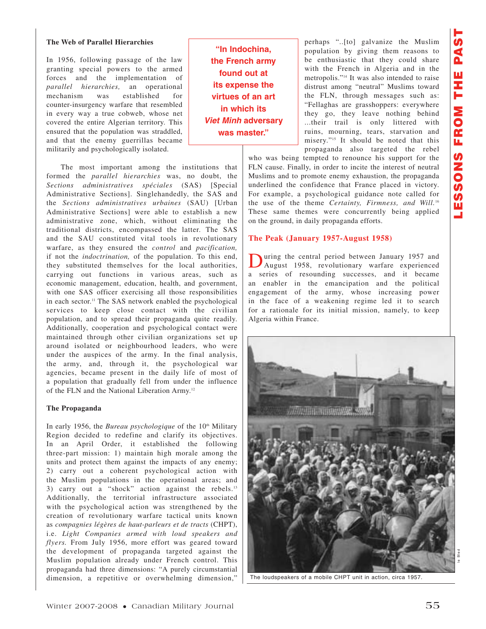# **The Web of Parallel Hierarchies**

In 1956, following passage of the law granting special powers to the armed forces and the implementation of *parallel hierarchies,* an operational mechanism was established for counter-insurgency warfare that resembled in every way a true cobweb, whose net covered the entire Algerian territory. This ensured that the population was straddled, and that the enemy guerrillas became militarily and psychologically isolated.

The most important among the institutions that formed the *parallel hierarchies* was, no doubt, the *Sections administratives spéciales* (SAS) [Special Administrative Sections]. Singlehandedly, the SAS and the *Sections administratives urbaines* (SAU) [Urban Administrative Sections] were able to establish a new administrative zone, which, without eliminating the traditional districts, encompassed the latter. The SAS and the SAU constituted vital tools in revolutionary warfare, as they ensured the *control* and *pacification,* if not the *indoctrination,* of the population. To this end, they substituted themselves for the local authorities, carrying out functions in various areas, such as economic management, education, health, and government, with one SAS officer exercising all those responsibilities in each sector. <sup>11</sup> The SAS network enabled the psychological services to keep close contact with the civilian population, and to spread their propaganda quite readily. Additionally, cooperation and psychological contact were maintained through other civilian organizations set up around isolated or neighbourhood leaders, who were under the auspices of the army. In the final analysis, the army, and, through it, the psychological war agencies, became present in the daily life of most of a population that gradually fell from under the influence of the FLN and the National Liberation Army.12

# **The Propaganda**

In early 1956, the *Bureau psychologique* of the 10<sup>th</sup> Military Region decided to redefine and clarify its objectives. In an April Order, it established the following three-part mission: 1) maintain high morale among the units and protect them against the impacts of any enemy; 2) carry out a coherent psychological action with the Muslim populations in the operational areas; and 3) carry out a "shock" action against the rebels.<sup>13</sup> Additionally, the territorial infrastructure associated with the psychological action was strengthened by the creation of revolutionary warfare tactical units known as *compagnies légères de haut-parleurs et de tracts* (CHPT), i.e. *Light Companies armed with loud speakers and flyers.* From July 1956, more effort was geared toward the development of propaganda targeted against the Muslim population already under French control. This propaganda had three dimensions: "A purely circumstantial dimension, a repetitive or overwhelming dimension,"

**"In Indochina, the French army found out at its expense the virtues of an art in which its**  *Viet Minh* **adversary was master."**

perhaps "..[to] galvanize the Muslim population by giving them reasons to be enthusiastic that they could share with the French in Algeria and in the metropolis."14 It was also intended to raise distrust among "neutral" Muslims toward the FLN, through messages such as: "Fellaghas are grasshoppers: everywhere they go, they leave nothing behind ...their trail is only littered with ruins, mourning, tears, starvation and misery."15 It should be noted that this propaganda also targeted the rebel

who was being tempted to renounce his support for the FLN cause. Finally, in order to incite the interest of neutral Muslims and to promote enemy exhaustion, the propaganda underlined the confidence that France placed in victory. For example, a psychological guidance note called for the use of the theme *Certainty, Firmness, and Will.*<sup>16</sup> These same themes were concurrently being applied on the ground, in daily propaganda efforts.

# **The Peak (January 1957-August 1958)**

During the central period between January 1957 and August 1958, revolutionary warfare experienced a series of resounding successes, and it became an enabler in the emancipation and the political engagement of the army, whose increasing power in the face of a weakening regime led it to search for a rationale for its initial mission, namely, to keep Algeria within France.



The loudspeakers of a mobile CHPT unit in action, circa 1957.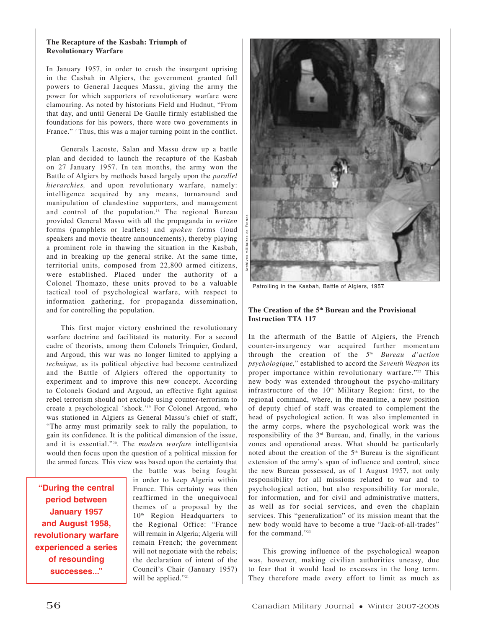### **The Recapture of the Kasbah: Triumph of Revolutionary Warfare**

In January 1957, in order to crush the insurgent uprising in the Casbah in Algiers, the government granted full powers to General Jacques Massu, giving the army the power for which supporters of revolutionary warfare were clamouring. As noted by historians Field and Hudnut, "From that day, and until General De Gaulle firmly established the foundations for his powers, there were two governments in France."<sup>17</sup> Thus, this was a major turning point in the conflict.

Generals Lacoste, Salan and Massu drew up a battle plan and decided to launch the recapture of the Kasbah on 27 January 1957. In ten months, the army won the Battle of Algiers by methods based largely upon the *parallel hierarchies,* and upon revolutionary warfare, namely: intelligence acquired by any means, turnaround and manipulation of clandestine supporters, and management and control of the population.<sup>18</sup> The regional Bureau provided General Massu with all the propaganda in *written* forms (pamphlets or leaflets) and *spoken* forms (loud speakers and movie theatre announcements), thereby playing a prominent role in thawing the situation in the Kasbah, and in breaking up the general strike. At the same time, territorial units, composed from 22,800 armed citizens, were established. Placed under the authority of a Colonel Thomazo, these units proved to be a valuable tactical tool of psychological warfare, with respect to information gathering, for propaganda dissemination, and for controlling the population.

This first major victory enshrined the revolutionary warfare doctrine and facilitated its maturity. For a second cadre of theorists, among them Colonels Trinquier, Godard, and Argoud, this war was no longer limited to applying a *technique,* as its political objective had become centralized and the Battle of Algiers offered the opportunity to experiment and to improve this new concept. According to Colonels Godard and Argoud, an effective fight against rebel terrorism should not exclude using counter-terrorism to create a psychological 'shock.'19 For Colonel Argoud, who was stationed in Algiers as General Massu's chief of staff, "The army must primarily seek to rally the population, to gain its confidence. It is the political dimension of the issue, and it is essential."20. The *modern warfare* intelligentsia would then focus upon the question of a political mission for the armed forces. This view was based upon the certainty that

**"During the central period between January 1957 and August 1958, revolutionary warfare experienced a series of resounding successes..."**

the battle was being fought in order to keep Algeria within France. This certainty was then reaffirmed in the unequivocal themes of a proposal by the 10<sup>th</sup> Region Headquarters to the Regional Office: "France will remain in Algeria; Algeria will remain French; the government will not negotiate with the rebels; the declaration of intent of the Council's Chair (January 1957) will be applied."<sup>21</sup>



Patrolling in the Kasbah, Battle of Algiers, 1957.

# **The Creation of the 5th Bureau and the Provisional Instruction TTA 117**

In the aftermath of the Battle of Algiers, the French counter-insurgency war acquired further momentum through the creation of the *5th Bureau d'action psychologique,*" established to accord the *Seventh Weapon* its proper importance within revolutionary warfare."<sup>22</sup> This new body was extended throughout the psycho-military infrastructure of the  $10<sup>th</sup>$  Military Region: first, to the regional command, where, in the meantime, a new position of deputy chief of staff was created to complement the head of psychological action. It was also implemented in the army corps, where the psychological work was the responsibility of the 3rd Bureau, and, finally, in the various zones and operational areas. What should be particularly noted about the creation of the  $5<sup>th</sup>$  Bureau is the significant extension of the army's span of influence and control, since the new Bureau possessed, as of 1 August 1957, not only responsibility for all missions related to war and to psychological action, but also responsibility for morale, for information, and for civil and administrative matters, as well as for social services, and even the chaplain services. This "generalization" of its mission meant that the new body would have to become a true "Jack-of-all-trades" for the command."23

This growing influence of the psychological weapon was, however, making civilian authorities uneasy, due to fear that it would lead to excesses in the long term. They therefore made every effort to limit as much as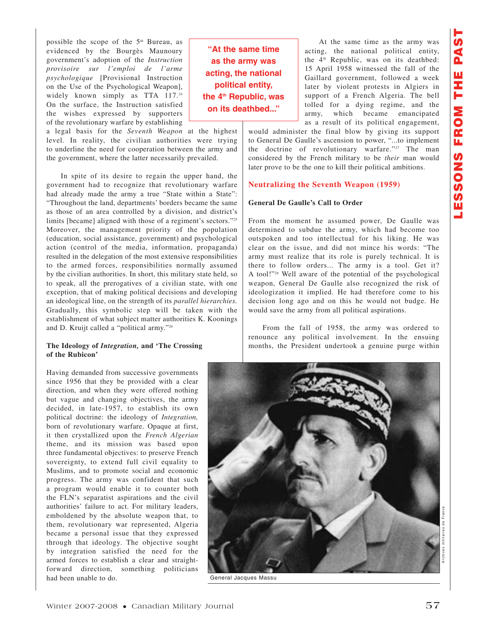possible the scope of the 5<sup>th</sup> Bureau, as evidenced by the Bourgès Maunoury government's adoption of the *Instruction provisoire sur l'emploi de l'arme psychologique* [Provisional Instruction on the Use of the Psychological Weapon], widely known simply as TTA 117.24 On the surface, the Instruction satisfied the wishes expressed by supporters of the revolutionary warfare by establishing

a legal basis for the *Seventh Weapon* at the highest level. In reality, the civilian authorities were trying to underline the need for cooperation between the army and the government, where the latter necessarily prevailed.

In spite of its desire to regain the upper hand, the government had to recognize that revolutionary warfare had already made the army a true "State within a State": "Throughout the land, departments' borders became the same as those of an area controlled by a division, and district's limits [became] aligned with those of a regiment's sectors."25 Moreover, the management priority of the population (education, social assistance, government) and psychological action (control of the media, information, propaganda) resulted in the delegation of the most extensive responsibilities to the armed forces, responsibilities normally assumed by the civilian authorities. In short, this military state held, so to speak, all the prerogatives of a civilian state, with one exception, that of making political decisions and developing an ideological line, on the strength of its *parallel hierarchies.* Gradually, this symbolic step will be taken with the establishment of what subject matter authorities K. Koonings and D. Kruijt called a "political army."26

### **The Ideology of** *Integration,* **and 'The Crossing of the Rubicon'**

Having demanded from successive governments since 1956 that they be provided with a clear direction, and when they were offered nothing but vague and changing objectives, the army decided, in late-1957, to establish its own political doctrine: the ideology of *Integration,* born of revolutionary warfare. Opaque at first, it then crystallized upon the *French Algerian* theme, and its mission was based upon three fundamental objectives: to preserve French sovereignty, to extend full civil equality to Muslims, and to promote social and economic progress. The army was confident that such a program would enable it to counter both the FLN's separatist aspirations and the civil authorities' failure to act. For military leaders, emboldened by the absolute weapon that, to them, revolutionary war represented, Algeria became a personal issue that they expressed through that ideology. The objective sought by integration satisfied the need for the armed forces to establish a clear and straightforward direction, something politicians had been unable to do.

**"At the same time as the army was acting, the national political entity, the 4th Republic, was on its deathbed..."**

At the same time as the army was acting, the national political entity, the 4<sup>th</sup> Republic, was on its deathbed: 15 April 1958 witnessed the fall of the Gaillard government, followed a week later by violent protests in Algiers in support of a French Algeria. The bell tolled for a dying regime, and the army, which became emancipated as a result of its political engagement,

would administer the final blow by giving its support to General De Gaulle's ascension to power, "...to implement the doctrine of revolutionary warfare."<sup>27</sup> The man considered by the French military to be *their* man would later prove to be the one to kill their political ambitions.

#### **Neutralizing the Seventh Weapon (1959)**

#### **General De Gaulle's Call to Order**

From the moment he assumed power, De Gaulle was determined to subdue the army, which had become too outspoken and too intellectual for his liking. He was clear on the issue, and did not mince his words: "The army must realize that its role is purely technical. It is there to follow orders... The army is a tool. Get it? A tool!"28 Well aware of the potential of the psychological weapon, General De Gaulle also recognized the risk of ideologization it implied. He had therefore come to his decision long ago and on this he would not budge. He would save the army from all political aspirations.

From the fall of 1958, the army was ordered to renounce any political involvement. In the ensuing months, the President undertook a genuine purge within



General Jacques Massu

Archives militaires de France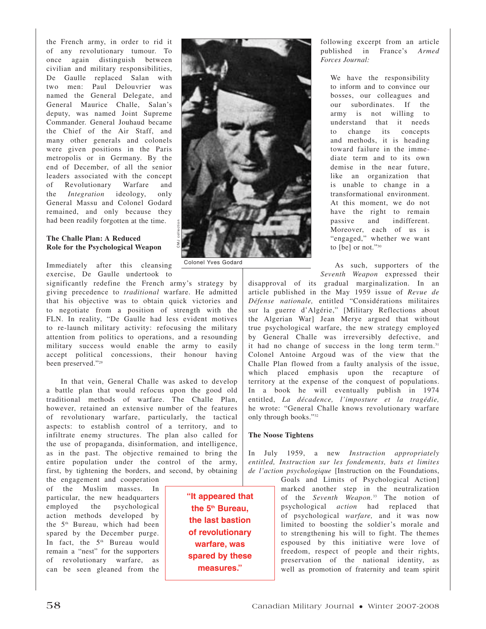the French army, in order to rid it of any revolutionary tumour. To once again distinguish between civilian and military responsibilities, De Gaulle replaced Salan with two men: Paul Delouvrier was named the General Delegate, and General Maurice Challe, Salan's deputy, was named Joint Supreme Commander. General Jouhaud became the Chief of the Air Staff, and many other generals and colonels were given positions in the Paris metropolis or in Germany. By the end of December, of all the senior leaders associated with the concept of Revolutionary Warfare and the *Integration* ideology, only General Massu and Colonel Godard remained, and only because they had been readily forgotten at the time.

## **The Challe Plan: A Reduced Role for the Psychological Weapon**

Immediately after this cleansing exercise, De Gaulle undertook to

significantly redefine the French army's strategy by giving precedence to *traditional* warfare. He admitted that his objective was to obtain quick victories and to negotiate from a position of strength with the FLN. In reality, "De Gaulle had less evident motives to re-launch military activity: refocusing the military attention from politics to operations, and a resounding military success would enable the army to easily accept political concessions, their honour having been preserved."29

In that vein, General Challe was asked to develop a battle plan that would refocus upon the good old traditional methods of warfare. The Challe Plan, however, retained an extensive number of the features of revolutionary warfare, particularly, the tactical aspects: to establish control of a territory, and to infiltrate enemy structures. The plan also called for the use of propaganda, disinformation, and intelligence, as in the past. The objective remained to bring the entire population under the control of the army, first, by tightening the borders, and second, by obtaining the engagement and cooperation

of the Muslim masses. In particular, the new headquarters employed the psychological action methods developed by the 5<sup>th</sup> Bureau, which had been spared by the December purge. In fact, the 5<sup>th</sup> Bureau would remain a "nest" for the supporters of revolutionary warfare, as can be seen gleaned from the

**"It appeared that the 5th Bureau, the last bastion of revolutionary warfare, was spared by these measures."**

Colonel Yves Godard

CMJ collection



We have the responsibility to inform and to convince our bosses, our colleagues and our subordinates. If the army is not willing to understand that it needs to change its concepts and methods, it is heading toward failure in the immediate term and to its own demise in the near future, like an organization that is unable to change in a transformational environment. At this moment, we do not have the right to remain passive and indifferent. Moreover, each of us is "engaged," whether we want to [be] or not."30

As such, supporters of the *Seventh Weapon* expressed their

disapproval of its gradual marginalization. In an article published in the May 1959 issue of *Revue de Défense nationale,* entitled "Considérations militaires sur la guerre d'Algérie," [Military Reflections about the Algerian War] Jean Merye argued that without true psychological warfare, the new strategy employed by General Challe was irreversibly defective, and it had no change of success in the long term term.<sup>31</sup> Colonel Antoine Argoud was of the view that the Challe Plan flowed from a faulty analysis of the issue, which placed emphasis upon the recapture of territory at the expense of the conquest of populations. In a book he will eventually publish in 1974 entitled, *La décadence, l'imposture et la tragédie,* he wrote: "General Challe knows revolutionary warfare only through books."32

## **The Noose Tightens**

In July 1959, a new *Instruction appropriately entitled, Instruction sur les fondements, buts et limites de l'action psychologique* [Instruction on the Foundations,

> Goals and Limits of Psychological Action] marked another step in the neutralization of the *Seventh Weapon.*<sup>33</sup> The notion of psychological *action* had replaced that of psychological *warfare,* and it was now limited to boosting the soldier's morale and to strengthening his will to fight. The themes espoused by this initiative were love of freedom, respect of people and their rights, preservation of the national identity, as well as promotion of fraternity and team spirit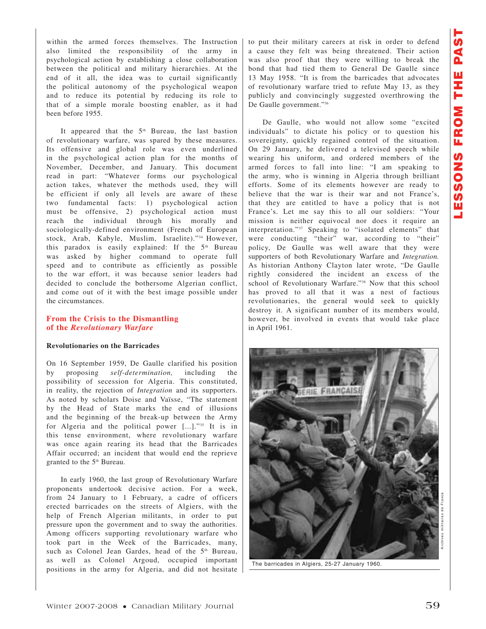within the armed forces themselves. The Instruction also limited the responsibility of the army in psychological action by establishing a close collaboration between the political and military hierarchies. At the end of it all, the idea was to curtail significantly the political autonomy of the psychological weapon and to reduce its potential by reducing its role to that of a simple morale boosting enabler, as it had been before 1955.

It appeared that the 5<sup>th</sup> Bureau, the last bastion of revolutionary warfare, was spared by these measures. Its offensive and global role was even underlined in the psychological action plan for the months of November, December, and January. This document read in part: "Whatever forms our psychological action takes, whatever the methods used, they will be efficient if only all levels are aware of these two fundamental facts: 1) psychological action must be offensive, 2) psychological action must reach the individual through his morally and sociologically-defined environment (French of European stock, Arab, Kabyle, Muslim, Israelite)."34 However, this paradox is easily explained: If the 5<sup>th</sup> Bureau was asked by higher command to operate full speed and to contribute as efficiently as possible to the war effort, it was because senior leaders had decided to conclude the bothersome Algerian conflict, and come out of it with the best image possible under the circumstances.

## **From the Crisis to the Dismantling of the** *Revolutionary Warfare*

#### **Revolutionaries on the Barricades**

On 16 September 1959, De Gaulle clarified his position by proposing *self-determination,* including the possibility of secession for Algeria. This constituted, in reality, the rejection of *Integration* and its supporters. As noted by scholars Doise and Vaïsse, "The statement by the Head of State marks the end of illusions and the beginning of the break-up between the Army for Algeria and the political power [...]."35 It is in this tense environment, where revolutionary warfare was once again rearing its head that the Barricades Affair occurred; an incident that would end the reprieve granted to the 5<sup>th</sup> Bureau.

In early 1960, the last group of Revolutionary Warfare proponents undertook decisive action. For a week, from 24 January to 1 February, a cadre of officers erected barricades on the streets of Algiers, with the help of French Algerian militants, in order to put pressure upon the government and to sway the authorities. Among officers supporting revolutionary warfare who took part in the Week of the Barricades, many, such as Colonel Jean Gardes, head of the 5<sup>th</sup> Bureau, as well as Colonel Argoud, occupied important positions in the army for Algeria, and did not hesitate to put their military careers at risk in order to defend a cause they felt was being threatened. Their action was also proof that they were willing to break the bond that had tied them to General De Gaulle since 13 May 1958. "It is from the barricades that advocates of revolutionary warfare tried to refute May 13, as they publicly and convincingly suggested overthrowing the De Gaulle government."36

De Gaulle, who would not allow some "excited individuals" to dictate his policy or to question his sovereignty, quickly regained control of the situation. On 29 January, he delivered a televised speech while wearing his uniform, and ordered members of the armed forces to fall into line: "I am speaking to the army, who is winning in Algeria through brilliant efforts. Some of its elements however are ready to believe that the war is their war and not France's, that they are entitled to have a policy that is not France's. Let me say this to all our soldiers: "Your mission is neither equivocal nor does it require an interpretation."37 Speaking to "isolated elements" that were conducting "their" war, according to "their" policy, De Gaulle was well aware that they were supporters of both Revolutionary Warfare and *Integration.* As historian Anthony Clayton later wrote, "De Gaulle rightly considered the incident an excess of the school of Revolutionary Warfare."38 Now that this school has proved to all that it was a nest of factious revolutionaries, the general would seek to quickly destroy it. A significant number of its members would, however, be involved in events that would take place in April 1961.



The barricades in Algiers, 25-27 January 1960.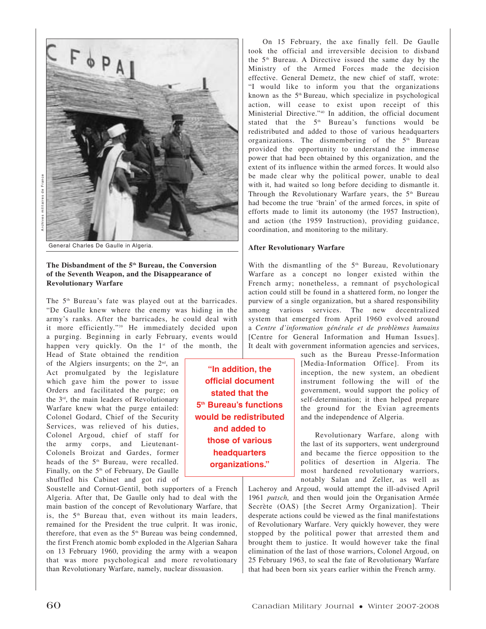

General Charles De Gaulle in Algeria.

## **The Disbandment of the 5th Bureau, the Conversion of the Seventh Weapon, and the Disappearance of Revolutionary Warfare**

The 5<sup>th</sup> Bureau's fate was played out at the barricades. "De Gaulle knew where the enemy was hiding in the army's ranks. After the barricades, he could deal with it more efficiently."39 He immediately decided upon a purging. Beginning in early February, events would happen very quickly. On the  $1<sup>st</sup>$  of the month, the

Head of State obtained the rendition of the Algiers insurgents; on the  $2<sup>nd</sup>$ , an Act promulgated by the legislature which gave him the power to issue Orders and facilitated the purge; on the 3rd, the main leaders of Revolutionary Warfare knew what the purge entailed: Colonel Godard, Chief of the Security Services, was relieved of his duties, Colonel Argoud, chief of staff for the army corps, and Lieutenant-Colonels Broizat and Gardes, former heads of the 5<sup>th</sup> Bureau, were recalled. Finally, on the 5<sup>th</sup> of February, De Gaulle shuffled his Cabinet and got rid of

Soustelle and Cornut-Gentil, both supporters of a French Algeria. After that, De Gaulle only had to deal with the main bastion of the concept of Revolutionary Warfare, that is, the 5<sup>th</sup> Bureau that, even without its main leaders, remained for the President the true culprit. It was ironic, therefore, that even as the 5<sup>th</sup> Bureau was being condemned, the first French atomic bomb exploded in the Algerian Sahara on 13 February 1960, providing the army with a weapon that was more psychological and more revolutionary than Revolutionary Warfare, namely, nuclear dissuasion.

On 15 February, the axe finally fell. De Gaulle took the official and irreversible decision to disband the  $5<sup>th</sup>$  Bureau. A Directive issued the same day by the Ministry of the Armed Forces made the decision effective. General Demetz, the new chief of staff, wrote: "I would like to inform you that the organizations known as the 5<sup>th</sup> Bureau, which specialize in psychological action, will cease to exist upon receipt of this Ministerial Directive."40 In addition, the official document stated that the 5<sup>th</sup> Bureau's functions would be redistributed and added to those of various headquarters organizations. The dismembering of the  $5<sup>th</sup>$  Bureau provided the opportunity to understand the immense power that had been obtained by this organization, and the extent of its influence within the armed forces. It would also be made clear why the political power, unable to deal with it, had waited so long before deciding to dismantle it. Through the Revolutionary Warfare years, the 5<sup>th</sup> Bureau had become the true 'brain' of the armed forces, in spite of efforts made to limit its autonomy (the 1957 Instruction), and action (the 1959 Instruction), providing guidance, coordination, and monitoring to the military.

### **After Revolutionary Warfare**

With the dismantling of the 5<sup>th</sup> Bureau, Revolutionary Warfare as a concept no longer existed within the French army; nonetheless, a remnant of psychological action could still be found in a shattered form, no longer the purview of a single organization, but a shared responsibility among various services. The new decentralized system that emerged from April 1960 evolved around a *Centre d'information générale et de problèmes humains* [Centre for General Information and Human Issues]. It dealt with government information agencies and services,

> such as the Bureau Presse-Information [Media-Information Office]. From its inception, the new system, an obedient instrument following the will of the government, would support the policy of self-determination; it then helped prepare the ground for the Evian agreements and the independence of Algeria.

> Revolutionary Warfare, along with the last of its supporters, went underground and became the fierce opposition to the politics of desertion in Algeria. The most hardened revolutionary warriors, notably Salan and Zeller, as well as

Lacheroy and Argoud, would attempt the ill-advised April 1961 *putsch,* and then would join the Organisation Armée Secrète (OAS) [the Secret Army Organization]. Their desperate actions could be viewed as the final manifestations of Revolutionary Warfare. Very quickly however, they were stopped by the political power that arrested them and brought them to justice. It would however take the final elimination of the last of those warriors, Colonel Argoud, on 25 February 1963, to seal the fate of Revolutionary Warfare that had been born six years earlier within the French army.

**"In addition, the official document stated that the 5th Bureau's functions would be redistributed and added to those of various headquarters organizations."**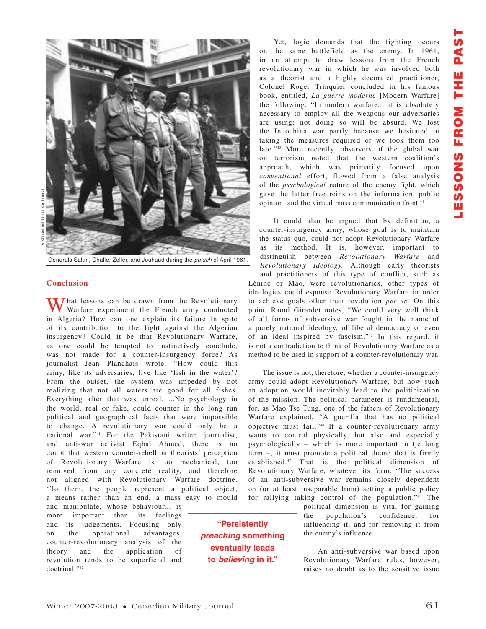

Archives militaires de France

Generals Salan, Challe, Zeller, and Jouhaud during the *putsch* of April 1961.

#### **Conclusion**

 $\overline{J}$  hat lessons can be drawn from the Revolutionary Warfare experiment the French army conducted in Algeria? How can one explain its failure in spite of its contribution to the fight against the Algerian insurgency? Could it be that Revolutionary Warfare, as one could be tempted to instinctively conclude, was not made for a counter-insurgency force? As journalist Jean Planchais wrote, "How could this army, like its adversaries, live like 'fish in the water'? From the outset, the system was impeded by not realizing that not all waters are good for all fishes. Everything after that was unreal. ...No psychology in the world, real or fake, could counter in the long run political and geographical facts that were impossible to change. A revolutionary war could only be a national war."41 For the Pakistani writer, journalist, and anti-war activist Eqbal Ahmed, there is no doubt that western counter-rebellion theorists' perception of Revolutionary Warfare is too mechanical, too removed from any concrete reality, and therefore not aligned with Revolutionary Warfare doctrine. "To them, the people represent a political object, a means rather than an end, a mass easy to mould

and manipulate, whose behaviour... is more important than its feelings and its judgements. Focusing only on the operational advantages, counter-revolutionary analysis of the theory and the application of revolution tends to be superficial and doctrinal."42

Yet, logic demands that the fighting occurs on the same battlefield as the enemy. In 1961, in an attempt to draw lessons from the French revolutionary war in which he was involved both as a theorist and a highly decorated practitioner, Colonel Roger Trinquier concluded in his famous book, entitled, *La guerre moderne* [Modern Warfare] the following: "In modern warfare... it is absolutely necessary to employ all the weapons our adversaries are using; not doing so will be absurd. We lost the Indochina war partly because we hesitated in taking the measures required or we took them too late."43 More recently, observers of the global war on terrorism noted that the western coalition's approach, which was primarily focused upon *conventional* effort, flowed from a false analysis of the *psychological* nature of the enemy fight, which gave the latter free reins on the information, public opinion, and the virtual mass communication front.44

It could also be argued that by definition, a counter-insurgency army, whose goal is to maintain the status quo, could not adopt Revolutionary Warfare as its method. It is, however, important to distinguish between *Revolutionary Warfare* and *Revolutionary Ideology.* Although early theorists and practitioners of this type of conflict, such as Lénine or Mao, were revolutionaries, other types of ideologies could espouse Revolutionary Warfare in order to achieve goals other than revolution *per se.* On this point, Raoul Girardet notes, "We could very well think of all forms of subversive war fought in the name of a purely national ideology, of liberal democracy or even of an ideal inspired by fascism."45 In this regard, it is not a contradiction to think of Revolutionary Warfare as a method to be used in support of a counter-revolutionary war.

The issue is not, therefore, whether a counter-insurgency army could adopt Revolutionary Warfare, but how such an adoption would inevitably lead to the politicization of the mission. The political parameter is fundamental, for, as Mao Tse Tung, one of the fathers of Revolutionary Warfare explained, "A guerilla that has no political objective must fail."46 If a counter-revolutionary army wants to control physically, but also and especially psychologically – which is more important in tje long term –, it must promote a political theme that is firmly established.47 That is the political dimension of Revolutionary Warfare, whatever its form: "The success of an anti-subversive war remains closely dependent on (or at least inseparable from) setting a public policy for rallying taking control of the population."48 The political dimension is vital for gaining

the population's confidence, for influencing it, and for removing it from the enemy's influence.

An anti-subversive war based upon Revolutionary Warfare rules, however, raises no doubt as to the sensitive issue

**"Persistently**  *preaching* **something eventually leads to** *believing* **in it."**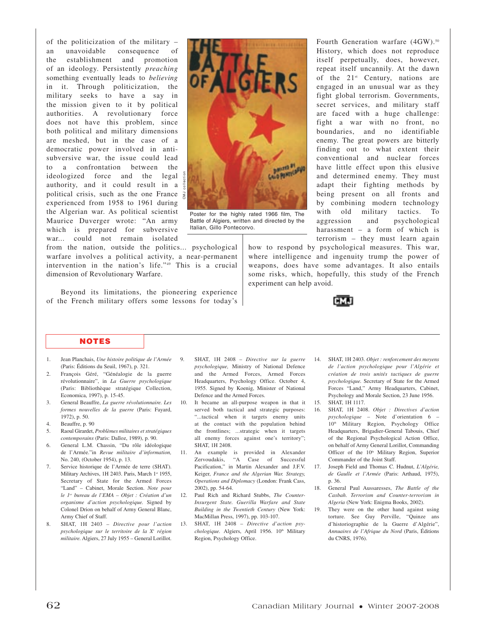of the politicization of the military – an unavoidable consequence of the establishment and promotion of an ideology. Persistently *preaching* something eventually leads to *believing* in it. Through politicization, the military seeks to have a say in the mission given to it by political authorities. A revolutionary force does not have this problem, since both political and military dimensions are meshed, but in the case of a democratic power involved in antisubversive war, the issue could lead to a confrontation between the ideologized force and the legal authority, and it could result in a  $\frac{4}{5}$ political crisis, such as the one France  $\frac{3}{5}$ experienced from 1958 to 1961 during the Algerian war. As political scientist Maurice Duverger wrote: "An army which is prepared for subversive war... could not remain isolated

**Marina PONTICERS** CMJ collection

Poster for the highly rated 1966 film, The Battle of Algiers, written and directed by the Italian, Gillo Pontecorvo.

from the nation, outside the politics... psychological warfare involves a political activity, a near-permanent intervention in the nation's life."49 This is a crucial dimension of Revolutionary Warfare.

Beyond its limitations, the pioneering experience of the French military offers some lessons for today's

**NOTES**

- 1. Jean Planchais, *Une histoire politique de l'Armée* (Paris: Éditions du Seuil, 1967), p. 321.
- 2. François Géré, "Généalogie de la guerre révolutionnaire", in *La Guerre psychologique* (Paris: Bibliothèque stratégique Collection, Economica, 1997), p. 15-45.
- 3. General Beauffre, *La guerre révolutionnaire. Les formes nouvelles de la guerre* (Paris: Fayard, 1972), p. 50.
- 4. Beauffre, p. 90
- 5. Raoul Girardet, *Problèmes militaires et stratégiques contemporains* (Paris: Dalloz, 1989), p. 90.
- 6. General L.M. Chassin, "Du rôle idéologique de l'Armée."in *Revue militaire d'information,* No. 240, (October 1954), p. 13.
- 7. Service historique de l'Armée de terre (SHAT). Military Archives, 1H 2403. Paris, March 1st 1955, Secretary of State for the Armed Forces "Land" – Cabinet, Morale Section. *Note pour le 1er bureau de l'EMA – Objet : Création d'un organisme d'action psychologique.* Signed by Colonel Drion on behalf of Army General Blanc, Army Chief of Staff.
- 8. SHAT, 1H 2403 *Directive pour l'action psychologique sur le territoire de la Xe région militaire.* Algiers, 27 July 1955 – General Lorillot.
- 9. SHAT, 1H 2408 *Directive sur la guerre psychologique,* Ministry of National Defence and the Armed Forces, Armed Forces Headquarters, Psychology Office. October 4, 1955. Signed by Koenig, Minister of National Defence and the Armed Forces.
- 10. It became an all-purpose weapon in that it served both tactical and strategic purposes: "...tactical when it targets enemy units at the contact with the population behind the frontlines; ...strategic when it targets all enemy forces against one's territory"; SHAT, 1H 2408.
- 11. An example is provided in Alexander Zervoudakis, "A Case of Successful Pacification," in Martin Alexander and J.F.V. Keiger, *France and the Algerian War. Strategy, Operations and Diplomacy* (London: Frank Cass, 2002), pp. 54-64.
- 12. Paul Rich and Richard Stubbs, *The Counter-Insurgent State. Guerilla Warfare and State Building in the Twentieth Century* (New York: MacMillan Press, 1997), pp. 103-107.
- 13. SHAT, 1H 2408 *Directive d'action psychologique.* Algiers, April 1956. 10<sup>th</sup> Military Region, Psychology Office.

Fourth Generation warfare (4GW).<sup>50</sup> History, which does not reproduce itself perpetually, does, however, repeat itself uncannily. At the dawn of the  $21^{st}$  Century, nations are engaged in an unusual war as they fight global terrorism. Governments, secret services, and military staff are faced with a huge challenge: fight a war with no front, no boundaries, and no identifiable enemy. The great powers are bitterly finding out to what extent their conventional and nuclear forces have little effect upon this elusive and determined enemy. They must adapt their fighting methods by being present on all fronts and by combining modern technology with old military tactics. To aggression and psychological harassment – a form of which is terrorism – they must learn again

how to respond by psychological measures. This war, where intelligence and ingenuity trump the power of weapons, does have some advantages. It also entails some risks, which, hopefully, this study of the French experiment can help avoid.



- 14. SHAT, 1H 2403. *Objet : renforcement des moyens de l'action psychologique pour l'Algérie et création de trois unités tactiques de guerre psychologique.* Secretary of State for the Armed Forces "Land," Army Headquarters, Cabinet, Psychology and Morale Section, 23 June 1956.
- 15. SHAT, 1H 1117.
- 16. SHAT, 1H 2408. *Objet : Directives d'action psychologique* – Note d'orientation 6 – 10<sup>th</sup> Military Region, Psychology Office Headquarters, Brigadier-General Tabouis, Chief of the Regional Psychological Action Office, on behalf of Army General Lorillot, Commanding Officer of the 10<sup>th</sup> Military Region, Superior Commander of the Joint Staff.
- 17. Joseph Field and Thomas C. Hudnut, *L'Algérie, de Gaulle et l'Armée* (Paris: Arthaud, 1975), p. 36.
- 18. General Paul Aussaresses, *The Battle of the Casbah. Terrorism and Counter-terrorism in Algeria* (New York: Enigma Books, 2002).
- 19. They were on the other hand against using torture. See Guy Perville, "Quinze ans d'historiographie de la Guerre d'Algérie", *Annuaires de l'Afrique du Nord* (Paris, Éditions du CNRS, 1976).